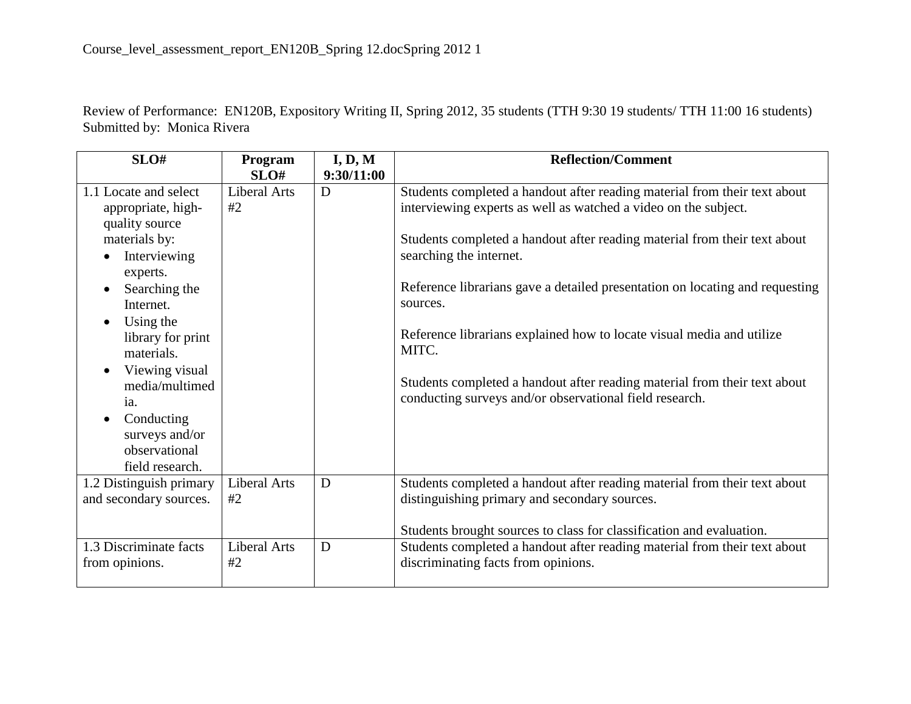Review of Performance: EN120B, Expository Writing II, Spring 2012, 35 students (TTH 9:30 19 students/ TTH 11:00 16 students) Submitted by: Monica Rivera

| SLO#                        | Program             | I, D, M    | <b>Reflection/Comment</b>                                                    |
|-----------------------------|---------------------|------------|------------------------------------------------------------------------------|
|                             | SLO#                | 9:30/11:00 |                                                                              |
| 1.1 Locate and select       | <b>Liberal Arts</b> | D          | Students completed a handout after reading material from their text about    |
| appropriate, high-          | #2                  |            | interviewing experts as well as watched a video on the subject.              |
| quality source              |                     |            |                                                                              |
| materials by:               |                     |            | Students completed a handout after reading material from their text about    |
| Interviewing                |                     |            | searching the internet.                                                      |
| experts.                    |                     |            |                                                                              |
| Searching the               |                     |            | Reference librarians gave a detailed presentation on locating and requesting |
| Internet.                   |                     |            | sources.                                                                     |
| Using the<br>$\bullet$      |                     |            |                                                                              |
| library for print           |                     |            | Reference librarians explained how to locate visual media and utilize        |
| materials.                  |                     |            | MITC.                                                                        |
| Viewing visual<br>$\bullet$ |                     |            |                                                                              |
| media/multimed              |                     |            | Students completed a handout after reading material from their text about    |
| 1a.                         |                     |            | conducting surveys and/or observational field research.                      |
| Conducting<br>$\bullet$     |                     |            |                                                                              |
| surveys and/or              |                     |            |                                                                              |
| observational               |                     |            |                                                                              |
| field research.             |                     |            |                                                                              |
|                             | Liberal Arts        | D          |                                                                              |
| 1.2 Distinguish primary     |                     |            | Students completed a handout after reading material from their text about    |
| and secondary sources.      | #2                  |            | distinguishing primary and secondary sources.                                |
|                             |                     |            |                                                                              |
|                             |                     |            | Students brought sources to class for classification and evaluation.         |
| 1.3 Discriminate facts      | Liberal Arts        | D          | Students completed a handout after reading material from their text about    |
| from opinions.              | #2                  |            | discriminating facts from opinions.                                          |
|                             |                     |            |                                                                              |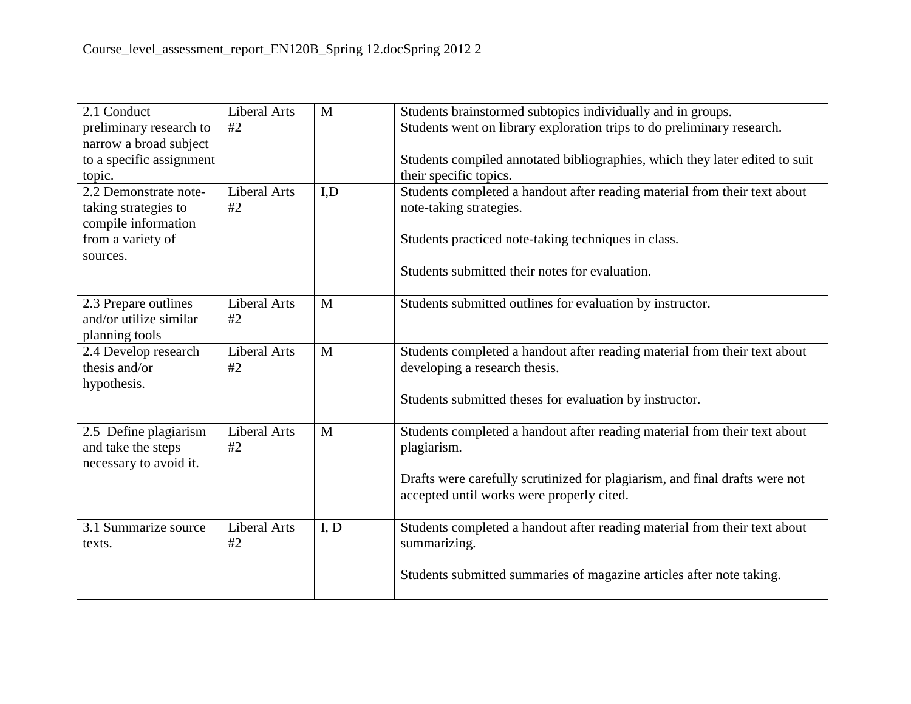| 2.1 Conduct              | <b>Liberal Arts</b> | M    | Students brainstormed subtopics individually and in groups.                 |  |
|--------------------------|---------------------|------|-----------------------------------------------------------------------------|--|
| preliminary research to  | #2                  |      | Students went on library exploration trips to do preliminary research.      |  |
| narrow a broad subject   |                     |      |                                                                             |  |
| to a specific assignment |                     |      | Students compiled annotated bibliographies, which they later edited to suit |  |
| topic.                   |                     |      | their specific topics.                                                      |  |
| 2.2 Demonstrate note-    | <b>Liberal Arts</b> | I,D  | Students completed a handout after reading material from their text about   |  |
| taking strategies to     | #2                  |      | note-taking strategies.                                                     |  |
| compile information      |                     |      |                                                                             |  |
| from a variety of        |                     |      | Students practiced note-taking techniques in class.                         |  |
| sources.                 |                     |      |                                                                             |  |
|                          |                     |      | Students submitted their notes for evaluation.                              |  |
|                          |                     |      |                                                                             |  |
| 2.3 Prepare outlines     | <b>Liberal Arts</b> | M    | Students submitted outlines for evaluation by instructor.                   |  |
| and/or utilize similar   | #2                  |      |                                                                             |  |
| planning tools           |                     |      |                                                                             |  |
| 2.4 Develop research     | <b>Liberal Arts</b> | M    | Students completed a handout after reading material from their text about   |  |
| thesis and/or            | #2                  |      | developing a research thesis.                                               |  |
| hypothesis.              |                     |      |                                                                             |  |
|                          |                     |      | Students submitted theses for evaluation by instructor.                     |  |
|                          |                     |      |                                                                             |  |
| 2.5 Define plagiarism    | <b>Liberal Arts</b> | M    | Students completed a handout after reading material from their text about   |  |
| and take the steps       | #2                  |      | plagiarism.                                                                 |  |
| necessary to avoid it.   |                     |      |                                                                             |  |
|                          |                     |      | Drafts were carefully scrutinized for plagiarism, and final drafts were not |  |
|                          |                     |      | accepted until works were properly cited.                                   |  |
|                          |                     |      |                                                                             |  |
| 3.1 Summarize source     | <b>Liberal Arts</b> | I, D | Students completed a handout after reading material from their text about   |  |
| texts.                   | #2                  |      | summarizing.                                                                |  |
|                          |                     |      |                                                                             |  |
|                          |                     |      | Students submitted summaries of magazine articles after note taking.        |  |
|                          |                     |      |                                                                             |  |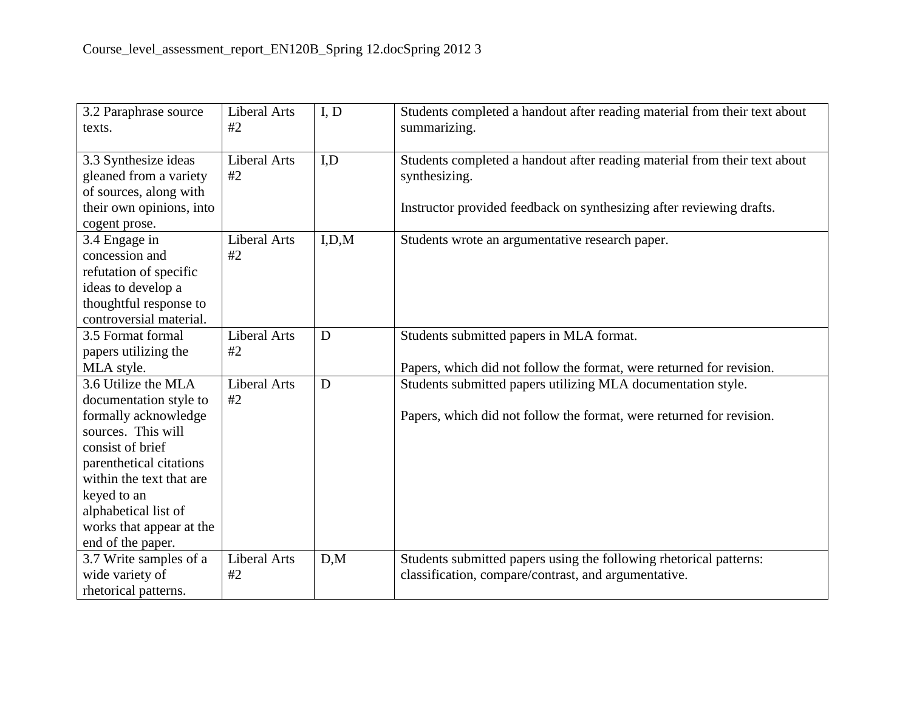| 3.2 Paraphrase source<br>texts.                                                                                                                                                                                                                                | <b>Liberal Arts</b><br>#2 | I, D  | Students completed a handout after reading material from their text about<br>summarizing.                                                                          |
|----------------------------------------------------------------------------------------------------------------------------------------------------------------------------------------------------------------------------------------------------------------|---------------------------|-------|--------------------------------------------------------------------------------------------------------------------------------------------------------------------|
| 3.3 Synthesize ideas<br>gleaned from a variety<br>of sources, along with<br>their own opinions, into<br>cogent prose.                                                                                                                                          | <b>Liberal Arts</b><br>#2 | I.D   | Students completed a handout after reading material from their text about<br>synthesizing.<br>Instructor provided feedback on synthesizing after reviewing drafts. |
| 3.4 Engage in<br>concession and<br>refutation of specific<br>ideas to develop a<br>thoughtful response to<br>controversial material.                                                                                                                           | <b>Liberal Arts</b><br>#2 | I.D.M | Students wrote an argumentative research paper.                                                                                                                    |
| 3.5 Format formal<br>papers utilizing the<br>MLA style.                                                                                                                                                                                                        | <b>Liberal Arts</b><br>#2 | D     | Students submitted papers in MLA format.<br>Papers, which did not follow the format, were returned for revision.                                                   |
| 3.6 Utilize the MLA<br>documentation style to<br>formally acknowledge<br>sources. This will<br>consist of brief<br>parenthetical citations<br>within the text that are<br>keyed to an<br>alphabetical list of<br>works that appear at the<br>end of the paper. | <b>Liberal Arts</b><br>#2 | D     | Students submitted papers utilizing MLA documentation style.<br>Papers, which did not follow the format, were returned for revision.                               |
| 3.7 Write samples of a<br>wide variety of<br>rhetorical patterns.                                                                                                                                                                                              | <b>Liberal Arts</b><br>#2 | D,M   | Students submitted papers using the following rhetorical patterns:<br>classification, compare/contrast, and argumentative.                                         |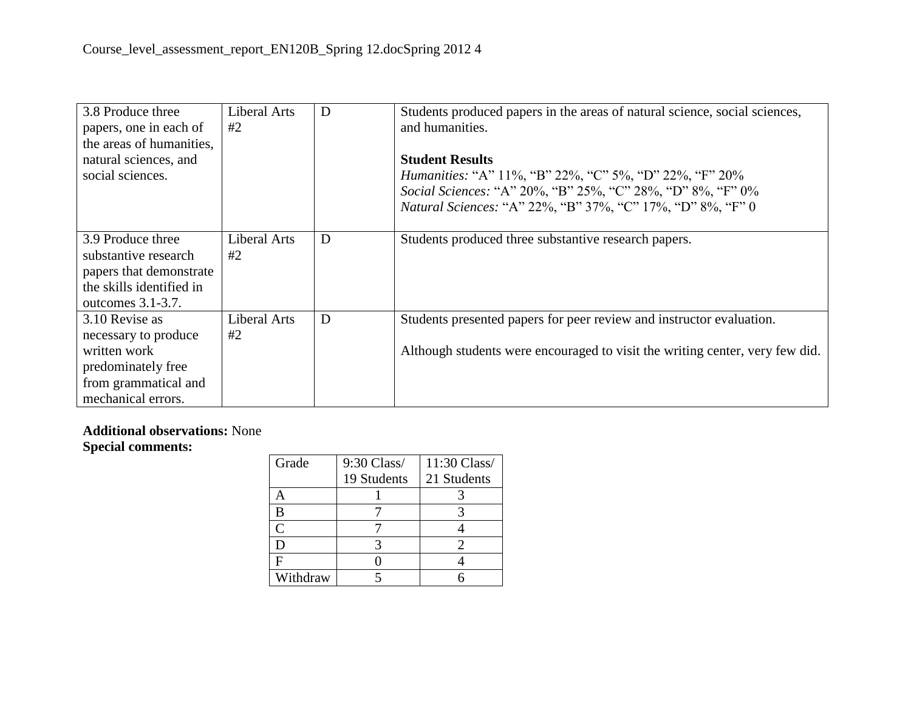| 3.8 Produce three<br>papers, one in each of<br>the areas of humanities,<br>natural sciences, and<br>social sciences.       | Liberal Arts<br>#2 | D | Students produced papers in the areas of natural science, social sciences,<br>and humanities.<br><b>Student Results</b><br><i>Humanities:</i> "A" 11%, "B" 22%, "C" 5%, "D" 22%, "F" 20%<br>Social Sciences: "A" 20%, "B" 25%, "C" 28%, "D" 8%, "F" 0%<br><i>Natural Sciences:</i> "A" 22%, "B" 37%, "C" 17%, "D" 8%, "F" 0 |
|----------------------------------------------------------------------------------------------------------------------------|--------------------|---|-----------------------------------------------------------------------------------------------------------------------------------------------------------------------------------------------------------------------------------------------------------------------------------------------------------------------------|
| 3.9 Produce three<br>substantive research<br>papers that demonstrate<br>the skills identified in<br>outcomes $3.1 - 3.7$ . | Liberal Arts<br>#2 | D | Students produced three substantive research papers.                                                                                                                                                                                                                                                                        |
| 3.10 Revise as<br>necessary to produce<br>written work<br>predominately free<br>from grammatical and<br>mechanical errors. | Liberal Arts<br>#2 | D | Students presented papers for peer review and instructor evaluation.<br>Although students were encouraged to visit the writing center, very few did.                                                                                                                                                                        |

## **Additional observations:** None **Special comments:**

| Grade    | 9:30 Class/ | 11:30 Class/ |
|----------|-------------|--------------|
|          | 19 Students | 21 Students  |
|          |             |              |
| B        |             |              |
| C        |             |              |
| I)       |             |              |
| F        |             |              |
| Withdraw |             |              |